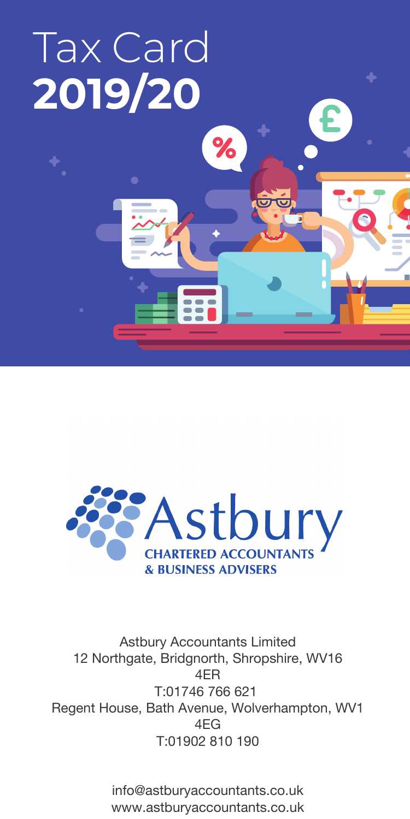# Tax Card **2019/20**



%

சு

Astbury Accountants Limited 12 Northgate, Bridgnorth, Shropshire, WV16 4ER T:01746 766 621 Regent House, Bath Avenue, Wolverhampton, WV1 4EG T:01902 810 190

> info@astburyaccountants.co.uk www.astburyaccountants.co.uk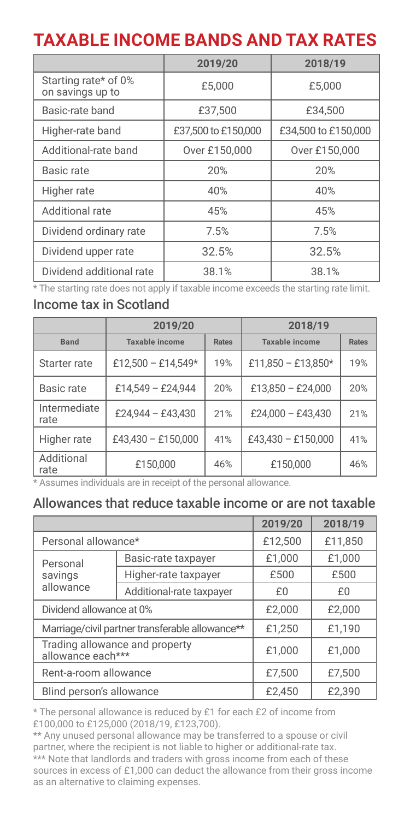### **TAXABLE INCOME BANDS AND TAX RATES**

|                                          | 2019/20             | 2018/19             |
|------------------------------------------|---------------------|---------------------|
| Starting rate* of 0%<br>on savings up to | £5.000              | £5.000              |
| Basic-rate band                          | £37.500             | £34.500             |
| Higher-rate band                         | £37,500 to £150,000 | £34.500 to £150.000 |
| Additional-rate band                     | Over £150,000       | Over £150,000       |
| Basic rate                               | 20%                 | 20%                 |
| Higher rate                              | 40%                 | 40%                 |
| Additional rate                          | 45%                 | 45%                 |
| Dividend ordinary rate                   | 7.5%                | 7.5%                |
| Dividend upper rate                      | 32.5%               | 32.5%               |
| Dividend additional rate                 | 38.1%               | 38.1%               |

\* The starting rate does not apply if taxable income exceeds the starting rate limit.

#### Income tax in Scotland

|                      | 2019/20            |       | 2018/19            |              |
|----------------------|--------------------|-------|--------------------|--------------|
| <b>Band</b>          | Taxable income     | Rates | Taxable income     | <b>Rates</b> |
| Starter rate         | £12,500 - £14,549* | 19%   | £11.850 - £13.850* | 19%          |
| Basic rate           | £14.549 - £24.944  | 20%   | £13,850 - £24,000  | 20%          |
| Intermediate<br>rate | £24.944 - £43.430  | 21%   | £24,000 - £43,430  | 21%          |
| Higher rate          | £43,430 - £150,000 | 41%   | £43.430 - £150.000 | 41%          |
| Additional<br>rate   | £150,000           | 46%   | £150,000           | 46%          |

\* Assumes individuals are in receipt of the personal allowance.

#### Allowances that reduce taxable income or are not taxable

|                                                     |                          | 2019/20 | 2018/19 |
|-----------------------------------------------------|--------------------------|---------|---------|
|                                                     | Personal allowance*      |         | £11.850 |
| Personal                                            | Basic-rate taxpayer      | £1.000  | £1.000  |
| savings                                             | Higher-rate taxpayer     | £500    | £500    |
| allowance                                           | Additional-rate taxpayer | £0      | £0      |
| Dividend allowance at 0%                            |                          | £2.000  | £2,000  |
| Marriage/civil partner transferable allowance**     |                          | £1.250  | £1.190  |
| Trading allowance and property<br>allowance each*** |                          | £1.000  | £1.000  |
| Rent-a-room allowance                               |                          | £7.500  | £7.500  |
| Blind person's allowance                            |                          | £2.450  | £2.390  |

\* The personal allowance is reduced by £1 for each £2 of income from £100,000 to £125,000 (2018/19, £123,700).

\*\* Any unused personal allowance may be transferred to a spouse or civil partner, where the recipient is not liable to higher or additional-rate tax. \*\*\* Note that landlords and traders with gross income from each of these sources in excess of £1,000 can deduct the allowance from their gross income as an alternative to claiming expenses.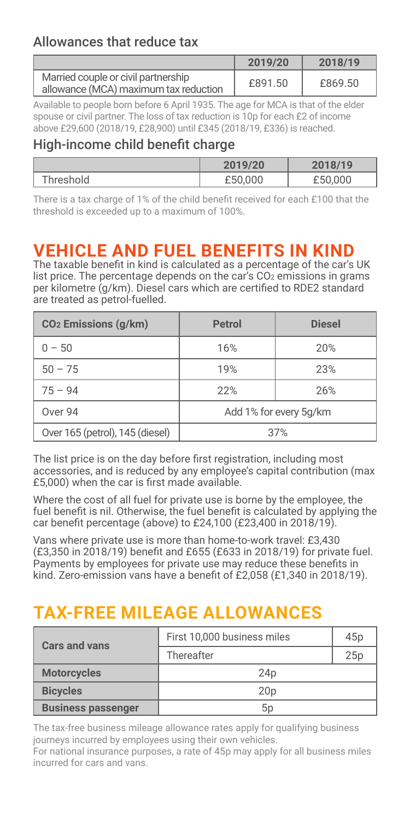#### Allowances that reduce tax

|                                                                              | 2019/20 | 2018/19 |
|------------------------------------------------------------------------------|---------|---------|
| Married couple or civil partnership<br>allowance (MCA) maximum tax reduction | £891.50 | £869.50 |

Available to people born before 6 April 1935. The age for MCA is that of the elder spouse or civil partner. The loss of tax reduction is 10p for each £2 of income above £29,600 (2018/19, £28,900) until £345 (2018/19, £336) is reached.

#### High-income child benefit charge

|           | 2019/20 | 2018/19 |
|-----------|---------|---------|
| Threshold | £50,000 | £50,000 |

There is a tax charge of 1% of the child benefit received for each £100 that the threshold is exceeded up to a maximum of 100%.

### **VEHICLE AND FUEL BENEFITS IN KIND**

The taxable beneit in kind is calculated as a percentage of the car゚s UK list price. The percentage depends on the car's CO<sub>2</sub> emissions in grams per kilometre (g/km). Diesel cars which are certiied to RDE2 standard are treated as petrol-fuelled.

| CO <sub>2</sub> Emissions (q/km) | Petrol                 | <b>Diesel</b> |
|----------------------------------|------------------------|---------------|
| $0 - 50$                         | 16%                    | 20%           |
| $50 - 75$                        | 19%                    | 23%           |
| $75 - 94$                        | 22%                    | 26%           |
| Over 94                          | Add 1% for every 5q/km |               |
| Over 165 (petrol), 145 (diesel)  | 37%                    |               |

The list price is on the day before first registration, including most accessories, and is reduced by any employee゚s capital contribution (max £5,000) when the car is first made available.

Where the cost of all fuel for private use is borne by the employee, the fuel benefit is nil. Otherwise, the fuel benefit is calculated by applying the car beneit percentage (above) to £24,100 (£23,400 in 2018/19).

Vans where private use is more than home-to-work travel: £3,430 (£3,350 in 2018/19) beneit and £655 (£633 in 2018/19) for private fuel. Payments by employees for private use may reduce these benefits in kind. Zero-emission vans have a beneit of £2,058 (£1,340 in 2018/19).

### **TAX-FREE MILEAGE ALLOWANCES**

| Cars and vans             | First 10.000 business miles | 45 <sub>p</sub> |
|---------------------------|-----------------------------|-----------------|
|                           | Thereafter                  | 25p             |
| <b>Motorcycles</b>        | 24p                         |                 |
| <b>Bicycles</b>           | 20 <sub>D</sub>             |                 |
| <b>Business passenger</b> | 5 <sub>D</sub>              |                 |

The tax-free business mileage allowance rates apply for qualifying business journeys incurred by employees using their own vehicles.

For national insurance purposes, a rate of 45p may apply for all business miles incurred for cars and vans.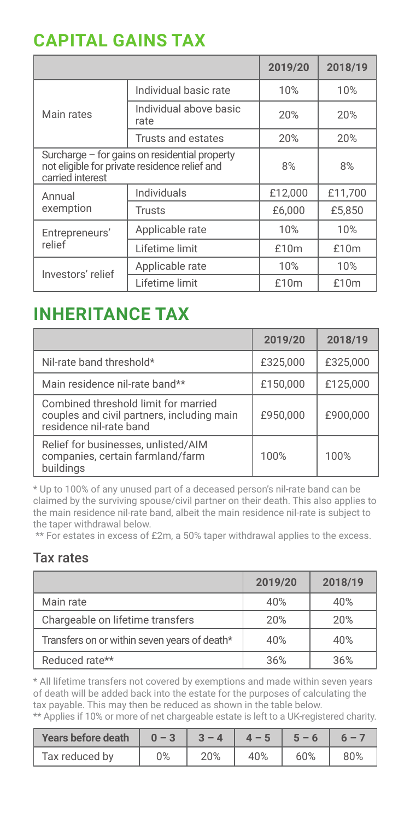### **CAPITAL GAINS TAX**

|                                                                                                                    |                                | 2019/20 | 2018/19 |
|--------------------------------------------------------------------------------------------------------------------|--------------------------------|---------|---------|
|                                                                                                                    | Individual basic rate          | 10%     | 10%     |
| Main rates                                                                                                         | Individual above basic<br>rate | 20%     | 20%     |
|                                                                                                                    | Trusts and estates             | 20%     | 20%     |
| Surcharge - for gains on residential property<br>not eligible for private residence relief and<br>carried interest |                                | 8%      | 8%      |
| Annual                                                                                                             | Individuals                    | £12.000 | £11.700 |
| exemption                                                                                                          | Trusts                         | £6.000  | £5.850  |
| Entrepreneurs'                                                                                                     | Applicable rate                | 10%     | 10%     |
| relief                                                                                                             | Lifetime limit                 | £10m    | £10m    |
| Investors' relief                                                                                                  | Applicable rate                | 10%     | 10%     |
|                                                                                                                    | Lifetime limit                 | £10m    | £10m    |

### **INHERITANCE TAX**

|                                                                                                               | 2019/20  | 2018/19  |
|---------------------------------------------------------------------------------------------------------------|----------|----------|
| Nil-rate band threshold*                                                                                      | £325.000 | £325.000 |
| Main residence nil-rate band**                                                                                | £150.000 | £125.000 |
| Combined threshold limit for married<br>couples and civil partners, including main<br>residence nil-rate band | £950.000 | £900.000 |
| Relief for businesses, unlisted/AIM<br>companies, certain farmland/farm<br>buildinas                          | 100%     | 100%     |

\* Up to 100% of any unused part of a deceased person゚s nil-rate band can be claimed by the surviving spouse/civil partner on their death. This also applies to the main residence nil-rate band, albeit the main residence nil-rate is subject to the taper withdrawal below.

\*\* For estates in excess of £2m, a 50% taper withdrawal applies to the excess.

#### Tax rates

|                                              | 2019/20 | 2018/19 |
|----------------------------------------------|---------|---------|
| Main rate                                    | 40%     | 40%     |
| Chargeable on lifetime transfers             | 20%     | 20%     |
| Transfers on or within seven years of death* | 40%     | 40%     |
| Reduced rate**                               | 36%     | 36%     |

\* All lifetime transfers not covered by exemptions and made within seven years of death will be added back into the estate for the purposes of calculating the tax payable. This may then be reduced as shown in the table below.

| ** Applies if 10% or more of net chargeable estate is left to a UK-registered charity. |  |  |  |
|----------------------------------------------------------------------------------------|--|--|--|
|----------------------------------------------------------------------------------------|--|--|--|

| Years before death |    |     |     |     |     |
|--------------------|----|-----|-----|-----|-----|
| Tax reduced by     | 0% | 20% | 40% | 60% | 80% |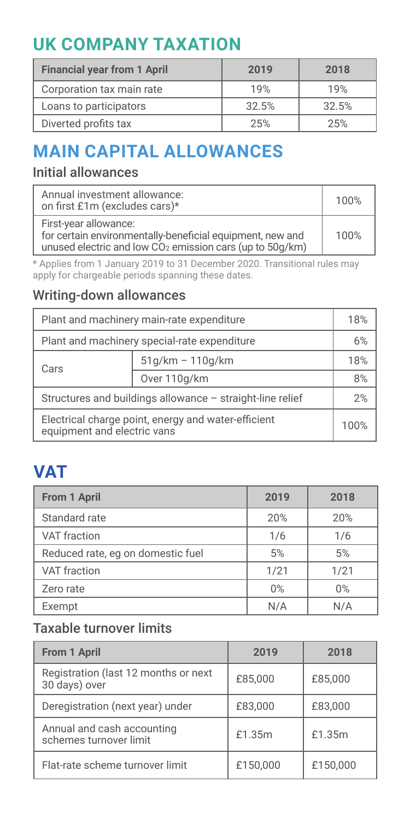# **UK COMPANY TAXATION**

| <b>Financial year from 1 April</b> | 2019  | 2018  |
|------------------------------------|-------|-------|
| Corporation tax main rate          | 19%   | 19%   |
| Loans to participators             | 32.5% | 32.5% |
| Diverted profits tax               | 25%   | 25%   |

# **MAIN CAPITAL ALLOWANCES**

### Initial allowances

| Annual investment allowance:<br>on first £1m (excludes cars)*                                                                                              | 100% |
|------------------------------------------------------------------------------------------------------------------------------------------------------------|------|
| First-year allowance:<br>for certain environmentally-beneficial equipment, new and<br>unused electric and low CO <sub>2</sub> emission cars (up to 50g/km) | 100% |

\* Applies from 1 January 2019 to 31 December 2020. Transitional rules may apply for chargeable periods spanning these dates.

#### Writing-down allowances

| Plant and machinery main-rate expenditure                                          |                    | 18%  |
|------------------------------------------------------------------------------------|--------------------|------|
| Plant and machinery special-rate expenditure                                       |                    | 6%   |
| Cars                                                                               | $51q/km - 110q/km$ |      |
| Over 110q/km                                                                       |                    | 8%   |
| Structures and buildings allowance - straight-line relief                          |                    | 2%   |
| Electrical charge point, energy and water-efficient<br>equipment and electric vans |                    | 100% |

# **VAT**

| From 1 April                      | 2019 | 2018 |
|-----------------------------------|------|------|
| Standard rate                     | 20%  | 20%  |
| VAT fraction                      | 1/6  | 1/6  |
| Reduced rate, eg on domestic fuel | 5%   | 5%   |
| VAT fraction                      | 1/21 | 1/21 |
| Zero rate                         | 0%   | 0%   |
| Exempt                            | N/A  | N/A  |

### Taxable turnover limits

| From 1 April                                          | 2019     | 2018     |
|-------------------------------------------------------|----------|----------|
| Registration (last 12 months or next<br>30 days) over | £85.000  | £85.000  |
| Deregistration (next year) under                      | £83.000  | £83.000  |
| Annual and cash accounting<br>schemes turnover limit  | £1.35m   | £1.35m   |
| Flat-rate scheme turnover limit                       | £150.000 | £150.000 |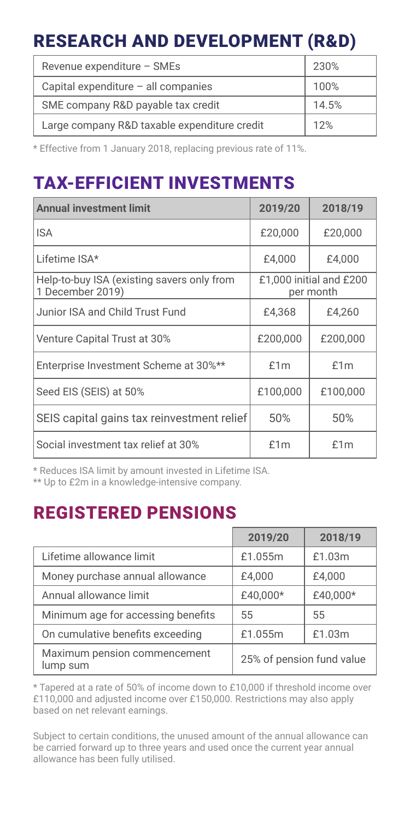## RESEARCH AND DEVELOPMENT (R&D)

| Revenue expenditure - SMEs                   | 230%  |
|----------------------------------------------|-------|
| Capital expenditure - all companies          | 100%  |
| SME company R&D payable tax credit           | 14.5% |
| Large company R&D taxable expenditure credit | 12%   |

\* Effective from 1 January 2018, replacing previous rate of 11%.

### TAX-EFFICIENT INVESTMENTS

| <b>Annual investment limit</b>                                 | 2019/20                              | 2018/19  |
|----------------------------------------------------------------|--------------------------------------|----------|
| <b>ISA</b>                                                     | £20,000                              | £20,000  |
| Lifetime ISA*                                                  | £4.000                               | £4.000   |
| Help-to-buy ISA (existing savers only from<br>1 December 2019) | £1,000 initial and £200<br>per month |          |
| Junior ISA and Child Trust Fund                                | £4.368                               | £4.260   |
| Venture Capital Trust at 30%                                   | £200,000                             | £200,000 |
| Enterprise Investment Scheme at 30%**                          | f1m                                  | £1m      |
| Seed EIS (SEIS) at 50%                                         | £100,000                             | £100,000 |
| SEIS capital gains tax reinvestment relief                     | 50%                                  | 50%      |
| Social investment tax relief at 30%                            | f1m                                  | f1m      |

\* Reduces ISA limit by amount invested in Lifetime ISA.

\*\* Up to £2m in a knowledge-intensive company.

### REGISTERED PENSIONS

|                                          | 2019/20                   | 2018/19  |
|------------------------------------------|---------------------------|----------|
| Lifetime allowance limit                 | £1.055m                   | £1.03m   |
| Money purchase annual allowance          | £4.000                    | £4.000   |
| Annual allowance limit                   | £40.000*                  | £40,000* |
| Minimum age for accessing benefits       | 55                        | 55       |
| On cumulative benefits exceeding         | £1.055m                   | £1.03m   |
| Maximum pension commencement<br>lump sum | 25% of pension fund value |          |

\* Tapered at a rate of 50% of income down to £10,000 if threshold income over £110,000 and adjusted income over £150,000. Restrictions may also apply based on net relevant earnings.

Subject to certain conditions, the unused amount of the annual allowance can be carried forward up to three years and used once the current year annual allowance has been fully utilised.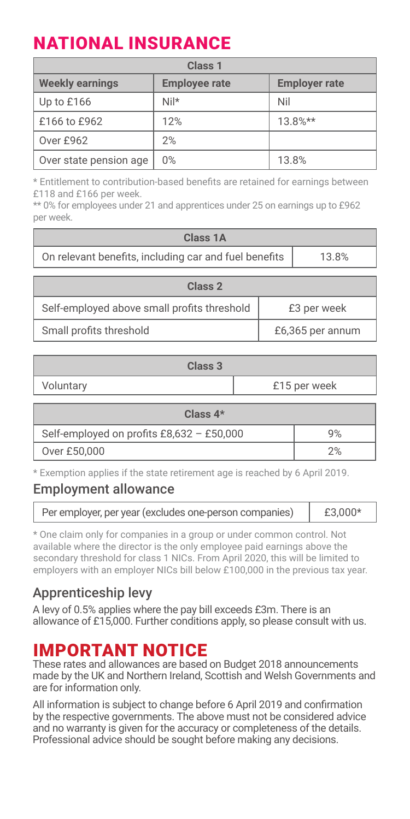# NATIONAL INSURANCE

| Class <sub>1</sub>     |                      |                      |
|------------------------|----------------------|----------------------|
| <b>Weekly earnings</b> | <b>Employee rate</b> | <b>Employer rate</b> |
| Up to £166             | Nil*                 | Nil                  |
| £166 to £962           | 12%                  | $13.8%$ **           |
| Over £962              | 2%                   |                      |
| Over state pension age | 0%                   | 13.8%                |

\* Entitlement to contribution-based beneits are retained for earnings between £118 and £166 per week.

\*\* 0% for employees under 21 and apprentices under 25 on earnings up to £962 per week.

| Class 1A                                                       |  |                  |
|----------------------------------------------------------------|--|------------------|
| On relevant benefits, including car and fuel benefits<br>13.8% |  |                  |
| Class 2                                                        |  |                  |
| Self-employed above small profits threshold<br>£3 per week     |  |                  |
| Small profits threshold                                        |  | £6,365 per annum |

| Class <sub>3</sub>        |  |  |
|---------------------------|--|--|
| £15 per week<br>Voluntary |  |  |

| Class $4*$                                |    |
|-------------------------------------------|----|
| Self-employed on profits £8,632 - £50,000 | 9% |
| Over £50,000                              |    |

\* Exemption applies if the state retirement age is reached by 6 April 2019.

#### Employment allowance

| Per employer, per year (excludes one-person companies) | £3,000* |
|--------------------------------------------------------|---------|
|--------------------------------------------------------|---------|

\* One claim only for companies in a group or under common control. Not available where the director is the only employee paid earnings above the secondary threshold for class 1 NICs. From April 2020, this will be limited to employers with an employer NICs bill below £100,000 in the previous tax year.

#### Apprenticeship levy

A levy of 0.5% applies where the pay bill exceeds £3m. There is an allowance of £15,000. Further conditions apply, so please consult with us.

### IMPORTANT NOTICE

These rates and allowances are based on Budget 2018 announcements made by the UK and Northern Ireland, Scottish and Welsh Governments and are for information only.

All information is subject to change before 6 April 2019 and confirmation by the respective governments. The above must not be considered advice and no warranty is given for the accuracy or completeness of the details. Professional advice should be sought before making any decisions.